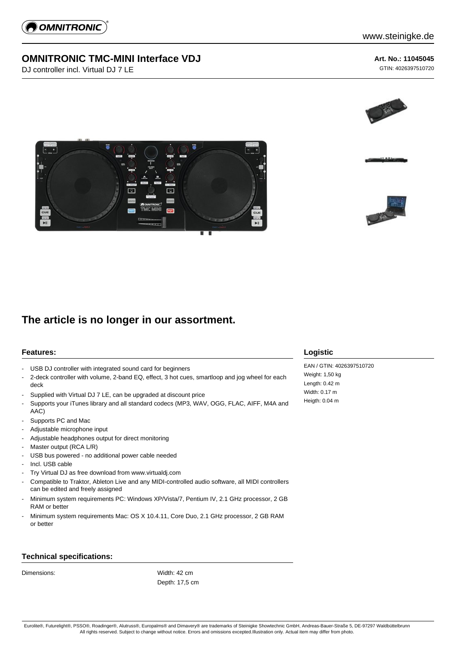

## **OMNITRONIC TMC-MINI Interface VDJ**

DJ controller incl. Virtual DJ 7 LE

### **Art. No.: 11045045**

GTIN: 4026397510720







# **The article is no longer in our assortment.**

#### **Features:**

- USB DJ controller with integrated sound card for beginners
- 2-deck controller with volume, 2-band EQ, effect, 3 hot cues, smartloop and jog wheel for each deck
- Supplied with Virtual DJ 7 LE, can be upgraded at discount price
- Supports your iTunes library and all standard codecs (MP3, WAV, OGG, FLAC, AIFF, M4A and AAC)
- Supports PC and Mac
- Adjustable microphone input
- Adjustable headphones output for direct monitoring
- Master output (RCA L/R)
- USB bus powered no additional power cable needed
- Incl. USB cable
- Try Virtual DJ as free download from www.virtualdj.com
- Compatible to Traktor, Ableton Live and any MIDI-controlled audio software, all MIDI controllers can be edited and freely assigned
- Minimum system requirements PC: Windows XP/Vista/7, Pentium IV, 2.1 GHz processor, 2 GB RAM or better
- Minimum system requirements Mac: OS X 10.4.11, Core Duo, 2.1 GHz processor, 2 GB RAM or better

#### **Technical specifications:**

Dimensions: Width: 42 cm Depth: 17,5 cm

#### **Logistic**

EAN / GTIN: 4026397510720 Weight: 1,50 kg Length: 0.42 m Width: 0.17 m Heigth: 0.04 m

Eurolite®, Futurelight®, PSSO®, Roadinger®, Alutruss®, Europalms® and Dimavery® are trademarks of Steinigke Showtechnic GmbH, Andreas-Bauer-Straße 5, DE-97297 Waldbüttelbrunn All rights reserved. Subject to change without notice. Errors and omissions excepted.Illustration only. Actual item may differ from photo.